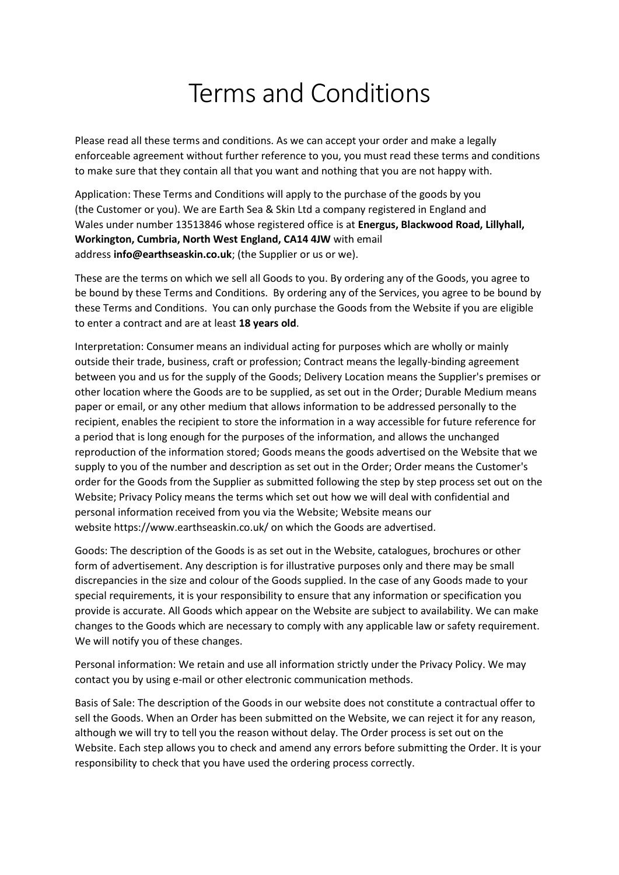## Terms and Conditions

Please read all these terms and conditions. As we can accept your order and make a legally enforceable agreement without further reference to you, you must read these terms and conditions to make sure that they contain all that you want and nothing that you are not happy with. 

Application: These Terms and Conditions will apply to the purchase of the goods by you (the Customer or you). We are Earth Sea & Skin Ltd a company registered in England and Wales under number 13513846 whose registered office is at **Energus, Blackwood Road, Lillyhall, Workington, Cumbria, North West England, CA14 4JW** with email address **info@earthseaskin.co.uk**; (the Supplier or us or we).

These are the terms on which we sell all Goods to you. By ordering any of the Goods, you agree to be bound by these Terms and Conditions.  By ordering any of the Services, you agree to be bound by these Terms and Conditions.  You can only purchase the Goods from the Website if you are eligible to enter a contract and are at least **18 years old**.

Interpretation: Consumer means an individual acting for purposes which are wholly or mainly outside their trade, business, craft or profession; Contract means the legally-binding agreement between you and us for the supply of the Goods; Delivery Location means the Supplier's premises or other location where the Goods are to be supplied, as set out in the Order; Durable Medium means paper or email, or any other medium that allows information to be addressed personally to the recipient, enables the recipient to store the information in a way accessible for future reference for a period that is long enough for the purposes of the information, and allows the unchanged reproduction of the information stored; Goods means the goods advertised on the Website that we supply to you of the number and description as set out in the Order; Order means the Customer's order for the Goods from the Supplier as submitted following the step by step process set out on the Website; Privacy Policy means the terms which set out how we will deal with confidential and personal information received from you via the Website; Website means our website https://www.earthseaskin.co.uk/ on which the Goods are advertised.

Goods: The description of the Goods is as set out in the Website, catalogues, brochures or other form of advertisement. Any description is for illustrative purposes only and there may be small discrepancies in the size and colour of the Goods supplied. In the case of any Goods made to your special requirements, it is your responsibility to ensure that any information or specification you provide is accurate. All Goods which appear on the Website are subject to availability. We can make changes to the Goods which are necessary to comply with any applicable law or safety requirement. We will notify you of these changes.

Personal information: We retain and use all information strictly under the Privacy Policy. We may contact you by using e-mail or other electronic communication methods.

Basis of Sale: The description of the Goods in our website does not constitute a contractual offer to sell the Goods. When an Order has been submitted on the Website, we can reject it for any reason, although we will try to tell you the reason without delay. The Order process is set out on the Website. Each step allows you to check and amend any errors before submitting the Order. It is your responsibility to check that you have used the ordering process correctly.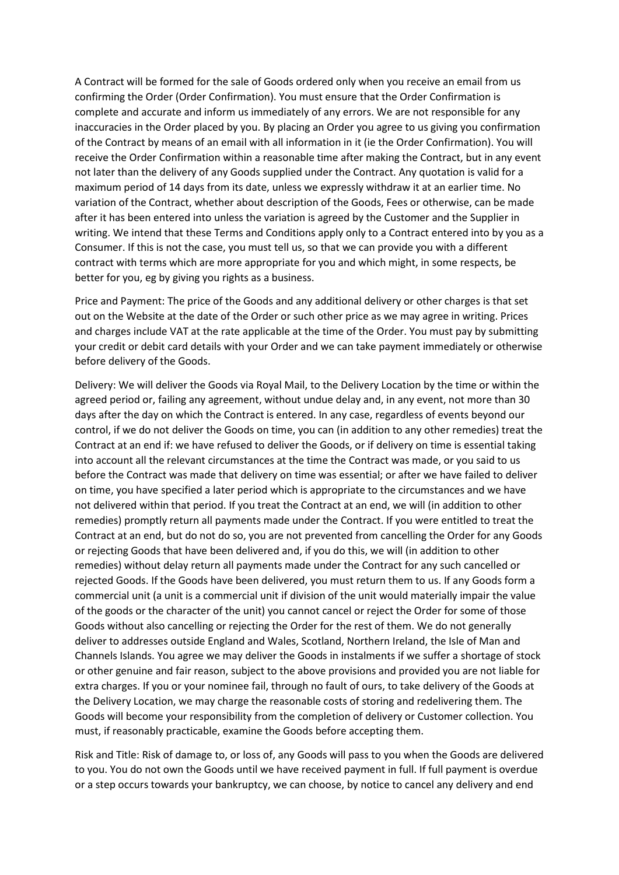A Contract will be formed for the sale of Goods ordered only when you receive an email from us confirming the Order (Order Confirmation). You must ensure that the Order Confirmation is complete and accurate and inform us immediately of any errors. We are not responsible for any inaccuracies in the Order placed by you. By placing an Order you agree to us giving you confirmation of the Contract by means of an email with all information in it (ie the Order Confirmation). You will receive the Order Confirmation within a reasonable time after making the Contract, but in any event not later than the delivery of any Goods supplied under the Contract. Any quotation is valid for a maximum period of 14 days from its date, unless we expressly withdraw it at an earlier time. No variation of the Contract, whether about description of the Goods, Fees or otherwise, can be made after it has been entered into unless the variation is agreed by the Customer and the Supplier in writing. We intend that these Terms and Conditions apply only to a Contract entered into by you as a Consumer. If this is not the case, you must tell us, so that we can provide you with a different contract with terms which are more appropriate for you and which might, in some respects, be better for you, eg by giving you rights as a business.

Price and Payment: The price of the Goods and any additional delivery or other charges is that set out on the Website at the date of the Order or such other price as we may agree in writing. Prices and charges include VAT at the rate applicable at the time of the Order. You must pay by submitting your credit or debit card details with your Order and we can take payment immediately or otherwise before delivery of the Goods.

Delivery: We will deliver the Goods via Royal Mail, to the Delivery Location by the time or within the agreed period or, failing any agreement, without undue delay and, in any event, not more than 30 days after the day on which the Contract is entered. In any case, regardless of events beyond our control, if we do not deliver the Goods on time, you can (in addition to any other remedies) treat the Contract at an end if: we have refused to deliver the Goods, or if delivery on time is essential taking into account all the relevant circumstances at the time the Contract was made, or you said to us before the Contract was made that delivery on time was essential; or after we have failed to deliver on time, you have specified a later period which is appropriate to the circumstances and we have not delivered within that period. If you treat the Contract at an end, we will (in addition to other remedies) promptly return all payments made under the Contract. If you were entitled to treat the Contract at an end, but do not do so, you are not prevented from cancelling the Order for any Goods or rejecting Goods that have been delivered and, if you do this, we will (in addition to other remedies) without delay return all payments made under the Contract for any such cancelled or rejected Goods. If the Goods have been delivered, you must return them to us. If any Goods form a commercial unit (a unit is a commercial unit if division of the unit would materially impair the value of the goods or the character of the unit) you cannot cancel or reject the Order for some of those Goods without also cancelling or rejecting the Order for the rest of them. We do not generally deliver to addresses outside England and Wales, Scotland, Northern Ireland, the Isle of Man and Channels Islands. You agree we may deliver the Goods in instalments if we suffer a shortage of stock or other genuine and fair reason, subject to the above provisions and provided you are not liable for extra charges. If you or your nominee fail, through no fault of ours, to take delivery of the Goods at the Delivery Location, we may charge the reasonable costs of storing and redelivering them. The Goods will become your responsibility from the completion of delivery or Customer collection. You must, if reasonably practicable, examine the Goods before accepting them.

Risk and Title: Risk of damage to, or loss of, any Goods will pass to you when the Goods are delivered to you. You do not own the Goods until we have received payment in full. If full payment is overdue or a step occurs towards your bankruptcy, we can choose, by notice to cancel any delivery and end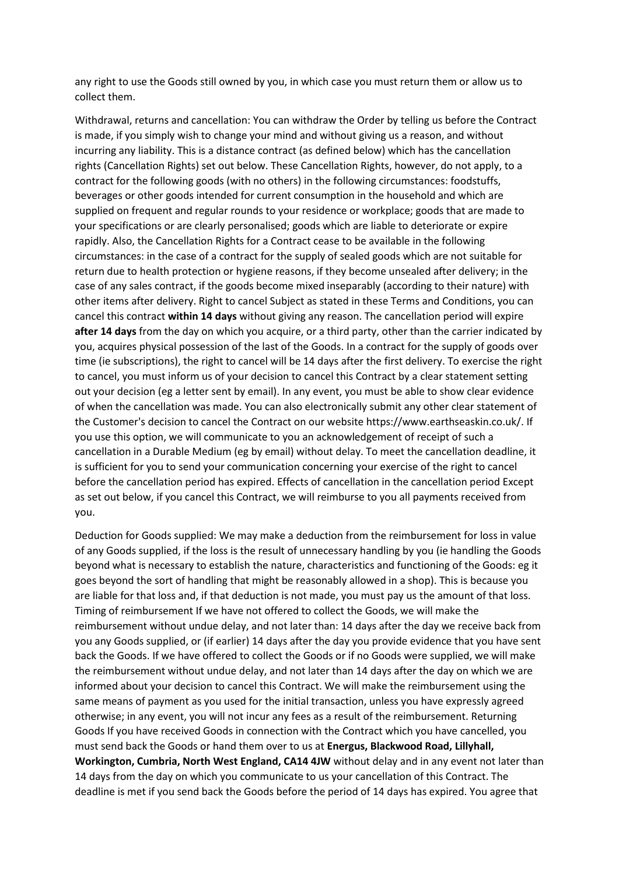any right to use the Goods still owned by you, in which case you must return them or allow us to collect them.

Withdrawal, returns and cancellation: You can withdraw the Order by telling us before the Contract is made, if you simply wish to change your mind and without giving us a reason, and without incurring any liability. This is a distance contract (as defined below) which has the cancellation rights (Cancellation Rights) set out below. These Cancellation Rights, however, do not apply, to a contract for the following goods (with no others) in the following circumstances: foodstuffs, beverages or other goods intended for current consumption in the household and which are supplied on frequent and regular rounds to your residence or workplace; goods that are made to your specifications or are clearly personalised; goods which are liable to deteriorate or expire rapidly. Also, the Cancellation Rights for a Contract cease to be available in the following circumstances: in the case of a contract for the supply of sealed goods which are not suitable for return due to health protection or hygiene reasons, if they become unsealed after delivery; in the case of any sales contract, if the goods become mixed inseparably (according to their nature) with other items after delivery. Right to cancel Subject as stated in these Terms and Conditions, you can cancel this contract **within 14 days** without giving any reason. The cancellation period will expire **after 14 days** from the day on which you acquire, or a third party, other than the carrier indicated by you, acquires physical possession of the last of the Goods. In a contract for the supply of goods over time (ie subscriptions), the right to cancel will be 14 days after the first delivery. To exercise the right to cancel, you must inform us of your decision to cancel this Contract by a clear statement setting out your decision (eg a letter sent by email). In any event, you must be able to show clear evidence of when the cancellation was made. You can also electronically submit any other clear statement of the Customer's decision to cancel the Contract on our website https://www.earthseaskin.co.uk/. If you use this option, we will communicate to you an acknowledgement of receipt of such a cancellation in a Durable Medium (eg by email) without delay. To meet the cancellation deadline, it is sufficient for you to send your communication concerning your exercise of the right to cancel before the cancellation period has expired. Effects of cancellation in the cancellation period Except as set out below, if you cancel this Contract, we will reimburse to you all payments received from you.

Deduction for Goods supplied: We may make a deduction from the reimbursement for loss in value of any Goods supplied, if the loss is the result of unnecessary handling by you (ie handling the Goods beyond what is necessary to establish the nature, characteristics and functioning of the Goods: eg it goes beyond the sort of handling that might be reasonably allowed in a shop). This is because you are liable for that loss and, if that deduction is not made, you must pay us the amount of that loss. Timing of reimbursement If we have not offered to collect the Goods, we will make the reimbursement without undue delay, and not later than: 14 days after the day we receive back from you any Goods supplied, or (if earlier) 14 days after the day you provide evidence that you have sent back the Goods. If we have offered to collect the Goods or if no Goods were supplied, we will make the reimbursement without undue delay, and not later than 14 days after the day on which we are informed about your decision to cancel this Contract. We will make the reimbursement using the same means of payment as you used for the initial transaction, unless you have expressly agreed otherwise; in any event, you will not incur any fees as a result of the reimbursement. Returning Goods If you have received Goods in connection with the Contract which you have cancelled, you must send back the Goods or hand them over to us at **Energus, Blackwood Road, Lillyhall, Workington, Cumbria, North West England, CA14 4JW** without delay and in any event not later than 14 days from the day on which you communicate to us your cancellation of this Contract. The deadline is met if you send back the Goods before the period of 14 days has expired. You agree that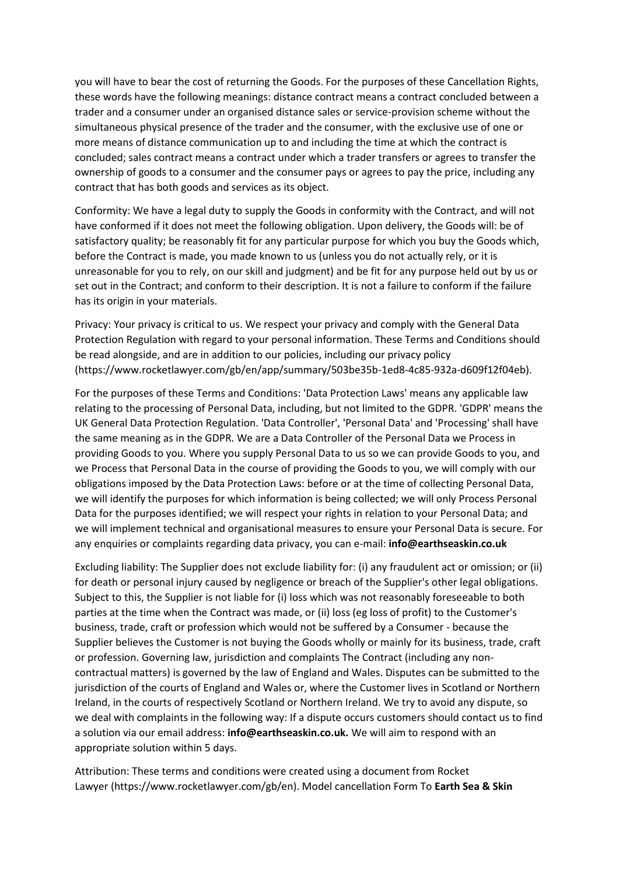you will have to bear the cost of returning the Goods. For the purposes of these Cancellation Rights, these words have the following meanings: distance contract means a contract concluded between a trader and a consumer under an organised distance sales or service-provision scheme without the simultaneous physical presence of the trader and the consumer, with the exclusive use of one or more means of distance communication up to and including the time at which the contract is concluded; sales contract means a contract under which a trader transfers or agrees to transfer the ownership of goods to a consumer and the consumer pays or agrees to pay the price, including any contract that has both goods and services as its object.

Conformity: We have a legal duty to supply the Goods in conformity with the Contract, and will not have conformed if it does not meet the following obligation. Upon delivery, the Goods will: be of satisfactory quality; be reasonably fit for any particular purpose for which you buy the Goods which, before the Contract is made, you made known to us (unless you do not actually rely, or it is unreasonable for you to rely, on our skill and judgment) and be fit for any purpose held out by us or set out in the Contract; and conform to their description. It is not a failure to conform if the failure has its origin in your materials.

Privacy: Your privacy is critical to us. We respect your privacy and comply with the General Data Protection Regulation with regard to your personal information. These Terms and Conditions should be read alongside, and are in addition to our policies, including our privacy policy (https://www.rocketlawyer.com/gb/en/app/summary/503be35b-1ed8-4c85-932a-d609f12f04eb).

For the purposes of these Terms and Conditions: 'Data Protection Laws' means any applicable law relating to the processing of Personal Data, including, but not limited to the GDPR. 'GDPR' means the UK General Data Protection Regulation. 'Data Controller', 'Personal Data' and 'Processing' shall have the same meaning as in the GDPR. We are a Data Controller of the Personal Data we Process in providing Goods to you. Where you supply Personal Data to us so we can provide Goods to you, and we Process that Personal Data in the course of providing the Goods to you, we will comply with our obligations imposed by the Data Protection Laws: before or at the time of collecting Personal Data, we will identify the purposes for which information is being collected; we will only Process Personal Data for the purposes identified; we will respect your rights in relation to your Personal Data; and we will implement technical and organisational measures to ensure your Personal Data is secure. For any enquiries or complaints regarding data privacy, you can e-mail: **info@earthseaskin.co.uk**

Excluding liability: The Supplier does not exclude liability for: (i) any fraudulent act or omission; or (ii) for death or personal injury caused by negligence or breach of the Supplier's other legal obligations. Subject to this, the Supplier is not liable for (i) loss which was not reasonably foreseeable to both parties at the time when the Contract was made, or (ii) loss (eg loss of profit) to the Customer's business, trade, craft or profession which would not be suffered by a Consumer - because the Supplier believes the Customer is not buying the Goods wholly or mainly for its business, trade, craft or profession. Governing law, jurisdiction and complaints The Contract (including any noncontractual matters) is governed by the law of England and Wales. Disputes can be submitted to the jurisdiction of the courts of England and Wales or, where the Customer lives in Scotland or Northern Ireland, in the courts of respectively Scotland or Northern Ireland. We try to avoid any dispute, so we deal with complaints in the following way: If a dispute occurs customers should contact us to find a solution via our email address: **info@earthseaskin.co.uk.** We will aim to respond with an appropriate solution within 5 days.

Attribution: These terms and conditions were created using a document from Rocket Lawyer (https://www.rocketlawyer.com/gb/en). Model cancellation Form To **Earth Sea & Skin**